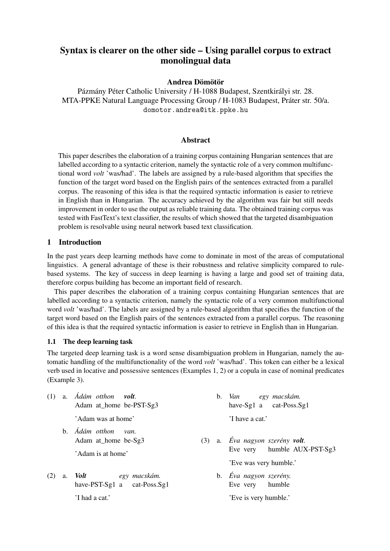# Syntax is clearer on the other side – Using parallel corpus to extract monolingual data

## Andrea Dömötör

Pázmány Péter Catholic University / H-1088 Budapest, Szentkirályi str. 28. MTA-PPKE Natural Language Processing Group / H-1083 Budapest, Práter str. 50/a. domotor.andrea@itk.ppke.hu

## Abstract

This paper describes the elaboration of a training corpus containing Hungarian sentences that are labelled according to a syntactic criterion, namely the syntactic role of a very common multifunctional word *volt* 'was/had'. The labels are assigned by a rule-based algorithm that specifies the function of the target word based on the English pairs of the sentences extracted from a parallel corpus. The reasoning of this idea is that the required syntactic information is easier to retrieve in English than in Hungarian. The accuracy achieved by the algorithm was fair but still needs improvement in order to use the output as reliable training data. The obtained training corpus was tested with FastText's text classifier, the results of which showed that the targeted disambiguation problem is resolvable using neural network based text classification.

## 1 Introduction

In the past years deep learning methods have come to dominate in most of the areas of computational linguistics. A general advantage of these is their robustness and relative simplicity compared to rulebased systems. The key of success in deep learning is having a large and good set of training data, therefore corpus building has become an important field of research.

This paper describes the elaboration of a training corpus containing Hungarian sentences that are labelled according to a syntactic criterion, namely the syntactic role of a very common multifunctional word *volt* 'was/had'. The labels are assigned by a rule-based algorithm that specifies the function of the target word based on the English pairs of the sentences extracted from a parallel corpus. The reasoning of this idea is that the required syntactic information is easier to retrieve in English than in Hungarian.

## 1.1 The deep learning task

The targeted deep learning task is a word sense disambiguation problem in Hungarian, namely the automatic handling of the multifunctionality of the word *volt* 'was/had'. This token can either be a lexical verb used in locative and possessive sentences (Examples 1, 2) or a copula in case of nominal predicates (Example 3).

|     | $(1)$ a. $A$ dám otthon volt.<br>Adam at home be-PST-Sg3 |  | b. Van egy macskám.<br>have-Sg1 a cat-Poss.Sg1 |
|-----|----------------------------------------------------------|--|------------------------------------------------|
|     | 'Adam was at home'                                       |  | 'I have a cat.'                                |
|     | b. <i>Ádám otthon</i><br>van.<br>Adam at_home be-Sg3     |  | $(3)$ a. Eva nagyon szerény <b>volt</b> .      |
|     | 'Adam is at home'                                        |  | Eve very humble AUX-PST-Sg3                    |
|     |                                                          |  | 'Eve was very humble.'                         |
| (2) | a. Volt<br>egy macskám.<br>have-PST-Sg1 a cat-Poss.Sg1   |  | b. Eva nagyon szerény.<br>Eve very humble      |
|     | 'I had a cat.'                                           |  | 'Eve is very humble.'                          |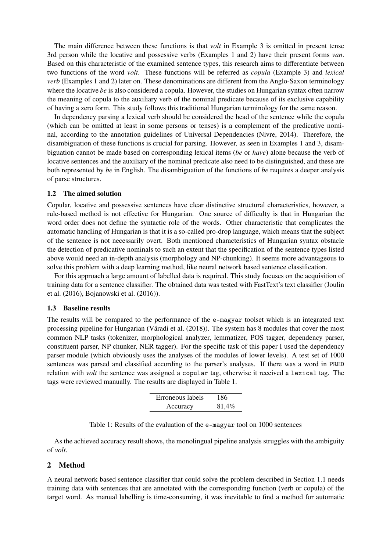The main difference between these functions is that *volt* in Example 3 is omitted in present tense 3rd person while the locative and possessive verbs (Examples 1 and 2) have their present forms *van*. Based on this characteristic of the examined sentence types, this research aims to differentiate between two functions of the word *volt*. These functions will be referred as *copula* (Example 3) and *lexical verb* (Examples 1 and 2) later on. These denominations are different from the Anglo-Saxon terminology where the locative *be* is also considered a copula. However, the studies on Hungarian syntax often narrow the meaning of copula to the auxiliary verb of the nominal predicate because of its exclusive capability of having a zero form. This study follows this traditional Hungarian terminology for the same reason.

In dependency parsing a lexical verb should be considered the head of the sentence while the copula (which can be omitted at least in some persons or tenses) is a complement of the predicative nominal, according to the annotation guidelines of Universal Dependencies (Nivre, 2014). Therefore, the disambiguation of these functions is crucial for parsing. However, as seen in Examples 1 and 3, disambiguation cannot be made based on corresponding lexical items (*be* or *have*) alone because the verb of locative sentences and the auxiliary of the nominal predicate also need to be distinguished, and these are both represented by *be* in English. The disambiguation of the functions of *be* requires a deeper analysis of parse structures.

#### 1.2 The aimed solution

Copular, locative and possessive sentences have clear distinctive structural characteristics, however, a rule-based method is not effective for Hungarian. One source of difficulty is that in Hungarian the word order does not define the syntactic role of the words. Other characteristic that complicates the automatic handling of Hungarian is that it is a so-called pro-drop language, which means that the subject of the sentence is not necessarily overt. Both mentioned characteristics of Hungarian syntax obstacle the detection of predicative nominals to such an extent that the specification of the sentence types listed above would need an in-depth analysis (morphology and NP-chunking). It seems more advantageous to solve this problem with a deep learning method, like neural network based sentence classification.

For this approach a large amount of labelled data is required. This study focuses on the acquisition of training data for a sentence classifier. The obtained data was tested with FastText's text classifier (Joulin et al. (2016), Bojanowski et al. (2016)).

#### 1.3 Baseline results

The results will be compared to the performance of the e-magyar toolset which is an integrated text processing pipeline for Hungarian (Váradi et al. (2018)). The system has 8 modules that cover the most common NLP tasks (tokenizer, morphological analyzer, lemmatizer, POS tagger, dependency parser, constituent parser, NP chunker, NER tagger). For the specific task of this paper I used the dependency parser module (which obviously uses the analyses of the modules of lower levels). A test set of 1000 sentences was parsed and classified according to the parser's analyses. If there was a word in PRED relation with *volt* the sentence was assigned a copular tag, otherwise it received a lexical tag. The tags were reviewed manually. The results are displayed in Table 1.

| Erroneous labels | 186   |
|------------------|-------|
| Accuracy         | 81,4% |

|  | Table 1: Results of the evaluation of the e-magyar tool on 1000 sentences |  |  |  |  |  |  |  |
|--|---------------------------------------------------------------------------|--|--|--|--|--|--|--|
|--|---------------------------------------------------------------------------|--|--|--|--|--|--|--|

As the achieved accuracy result shows, the monolingual pipeline analysis struggles with the ambiguity of *volt*.

#### 2 Method

A neural network based sentence classifier that could solve the problem described in Section 1.1 needs training data with sentences that are annotated with the corresponding function (verb or copula) of the target word. As manual labelling is time-consuming, it was inevitable to find a method for automatic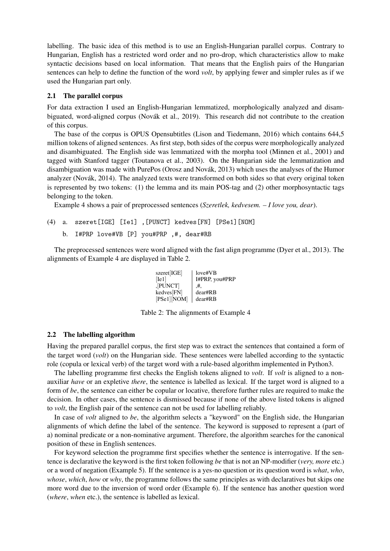labelling. The basic idea of this method is to use an English-Hungarian parallel corpus. Contrary to Hungarian, English has a restricted word order and no pro-drop, which characteristics allow to make syntactic decisions based on local information. That means that the English pairs of the Hungarian sentences can help to define the function of the word *volt*, by applying fewer and simpler rules as if we used the Hungarian part only.

## 2.1 The parallel corpus

For data extraction I used an English-Hungarian lemmatized, morphologically analyzed and disambiguated, word-aligned corpus (Novák et al., 2019). This research did not contribute to the creation of this corpus.

The base of the corpus is OPUS Opensubtitles (Lison and Tiedemann, 2016) which contains 644,5 million tokens of aligned sentences. As first step, both sides of the corpus were morphologically analyzed and disambiguated. The English side was lemmatized with the morpha tool (Minnen et al., 2001) and tagged with Stanford tagger (Toutanova et al., 2003). On the Hungarian side the lemmatization and disambiguation was made with PurePos (Orosz and Novák, 2013) which uses the analyses of the Humor analyzer (Novák, 2014). The analyzed texts were transformed on both sides so that every original token is represented by two tokens: (1) the lemma and its main POS-tag and (2) other morphosyntactic tags belonging to the token.

Example 4 shows a pair of preprocessed sentences (*Szeretlek, kedvesem. – I love you, dear*).

```
(4) a. szeret[IGE] [Ie1] ,[PUNCT] kedves[FN] [PSe1][NOM]
b. I#PRP love#VB [P] you#PRP ,#, dear#RB
```
The preprocessed sentences were word aligned with the fast align programme (Dyer et al., 2013). The alignments of Example 4 are displayed in Table 2.

| szeret[IGE]    | love#VB        |
|----------------|----------------|
| Ie1            | I#PRP, you#PRP |
| ,[PUNCT]       | .#.            |
| kedves[FN]     | dear#RB        |
| $[PSe1]$ [NOM] | dear#RB        |

Table 2: The alignments of Example 4

## 2.2 The labelling algorithm

Having the prepared parallel corpus, the first step was to extract the sentences that contained a form of the target word (*volt*) on the Hungarian side. These sentences were labelled according to the syntactic role (copula or lexical verb) of the target word with a rule-based algorithm implemented in Python3.

The labelling programme first checks the English tokens aligned to *volt*. If *volt* is aligned to a nonauxiliar *have* or an expletive *there*, the sentence is labelled as lexical. If the target word is aligned to a form of *be*, the sentence can either be copular or locative, therefore further rules are required to make the decision. In other cases, the sentence is dismissed because if none of the above listed tokens is aligned to *volt*, the English pair of the sentence can not be used for labelling reliably.

In case of *volt* aligned to *be*, the algorithm selects a "keyword" on the English side, the Hungarian alignments of which define the label of the sentence. The keyword is supposed to represent a (part of a) nominal predicate or a non-nominative argument. Therefore, the algorithm searches for the canonical position of these in English sentences.

For keyword selection the programme first specifies whether the sentence is interrogative. If the sentence is declarative the keyword is the first token following *be* that is not an NP-modifier (*very, more* etc.) or a word of negation (Example 5). If the sentence is a yes-no question or its question word is *what*, *who*, *whose*, *which*, *how* or *why*, the programme follows the same principles as with declaratives but skips one more word due to the inversion of word order (Example 6). If the sentence has another question word (*where*, *when* etc.), the sentence is labelled as lexical.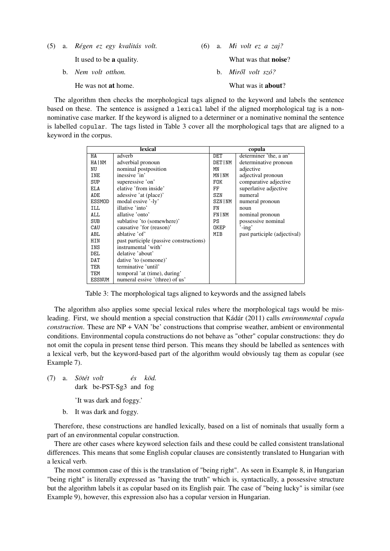|  | (5) a. Régen ez egy kvalitás volt. |  | (6) a. Mi volt ez a zaj?     |
|--|------------------------------------|--|------------------------------|
|  | It used to be a quality.           |  | What was that <b>noise</b> ? |
|  | b. Nem volt otthon.                |  | b. <i>Miről volt szó?</i>    |
|  | He was not <b>at</b> home.         |  | What was it <b>about</b> ?   |

The algorithm then checks the morphological tags aligned to the keyword and labels the sentence based on these. The sentence is assigned a lexical label if the aligned morphological tag is a nonnominative case marker. If the keyword is aligned to a determiner or a nominative nominal the sentence is labelled copular. The tags listed in Table 3 cover all the morphological tags that are aligned to a keyword in the corpus.

|               | lexical                                 | copula         |                              |  |  |
|---------------|-----------------------------------------|----------------|------------------------------|--|--|
| HA            | adverb                                  | DET            | determiner 'the, a an'       |  |  |
| HA   NM       | adverbial pronoun                       | <b>DET INM</b> | determinative pronoun        |  |  |
| NU            | nominal postposition                    | MN             | adjective                    |  |  |
| <b>INE</b>    | inessive 'in'                           | MN   NM        | adjectival pronoun           |  |  |
| <b>SUP</b>    | superessive 'on'                        | <b>FOK</b>     | comparative adjective        |  |  |
| <b>ELA</b>    | elative 'from inside'                   | FF             | superlative adjective        |  |  |
| <b>ADE</b>    | adessive 'at (place)'                   | <b>SZN</b>     | numeral                      |  |  |
| ESSMOD        | modal essive '-ly'                      | SZN   NM       | numeral pronoun              |  |  |
| <b>ILL</b>    | illative 'into'                         | FN             | noun                         |  |  |
| ALL.          | allative 'onto'                         | FN   NM        | nominal pronoun              |  |  |
| SUB           | sublative 'to (somewhere)'              | PS             | possessive nominal           |  |  |
| CAU           | causative 'for (reason)'                | OKEP           | $'$ -ing'                    |  |  |
| <b>ABL</b>    | ablative 'of'                           | MIB            | past participle (adjectival) |  |  |
| <b>HIN</b>    | past participle (passive constructions) |                |                              |  |  |
| INS           | instrumental 'with'                     |                |                              |  |  |
| <b>DEL</b>    | delative 'about'                        |                |                              |  |  |
| DAT           | dative 'to (someone)'                   |                |                              |  |  |
| <b>TER</b>    | terminative 'until'                     |                |                              |  |  |
| TEM           | temporal 'at (time), during'            |                |                              |  |  |
| <b>ESSNUM</b> | numeral essive '(three) of us'          |                |                              |  |  |

Table 3: The morphological tags aligned to keywords and the assigned labels

The algorithm also applies some special lexical rules where the morphological tags would be misleading. First, we should mention a special construction that Kádár (2011) calls *environmental copula construction*. These are NP + VAN 'be' constructions that comprise weather, ambient or environmental conditions. Environmental copula constructions do not behave as "other" copular constructions: they do not omit the copula in present tense third person. This means they should be labelled as sentences with a lexical verb, but the keyword-based part of the algorithm would obviously tag them as copular (see Example 7).

- (7) a. *Sötét volt* dark be-PST-Sg3 and fog *és köd.*
	- 'It was dark and foggy.'
	- b. It was dark and foggy.

Therefore, these constructions are handled lexically, based on a list of nominals that usually form a part of an environmental copular construction.

There are other cases where keyword selection fails and these could be called consistent translational differences. This means that some English copular clauses are consistently translated to Hungarian with a lexical verb.

The most common case of this is the translation of "being right". As seen in Example 8, in Hungarian "being right" is literally expressed as "having the truth" which is, syntactically, a possessive structure but the algorithm labels it as copular based on its English pair. The case of "being lucky" is similar (see Example 9), however, this expression also has a copular version in Hungarian.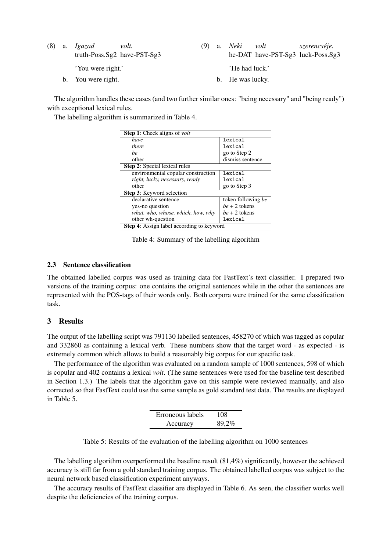|  | $(8)$ a. Igazad<br>volt.<br>truth-Poss.Sg2 have-PST-Sg3 |  | a. <i>Neki</i><br>volt<br>szerencséje.<br>he-DAT have-PST-Sg3 luck-Poss.Sg3 |
|--|---------------------------------------------------------|--|-----------------------------------------------------------------------------|
|  | 'You were right.'                                       |  | He had luck.'                                                               |
|  | b. You were right.                                      |  | b. He was lucky.                                                            |

The algorithm handles these cases (and two further similar ones: "being necessary" and "being ready") with exceptional lexical rules.

The labelling algorithm is summarized in Table 4.

| <b>Step 1:</b> Check aligns of <i>volt</i>       |                    |  |  |  |  |
|--------------------------------------------------|--------------------|--|--|--|--|
| have                                             | lexical            |  |  |  |  |
| there                                            | lexical            |  |  |  |  |
| he                                               | go to Step 2       |  |  |  |  |
| other                                            | dismiss sentence   |  |  |  |  |
| <b>Step 2:</b> Special lexical rules             |                    |  |  |  |  |
| environmental copular construction               | lexical            |  |  |  |  |
| right, lucky, necessary, ready                   | lexical            |  |  |  |  |
| other                                            | go to Step 3       |  |  |  |  |
| Step 3: Keyword selection                        |                    |  |  |  |  |
| declarative sentence                             | token following be |  |  |  |  |
| yes-no question                                  | $be + 2$ tokens    |  |  |  |  |
| what, who, whose, which, how, why                | $be + 2$ tokens    |  |  |  |  |
| other wh-question                                | lexical            |  |  |  |  |
| <b>Step 4:</b> Assign label according to keyword |                    |  |  |  |  |

Table 4: Summary of the labelling algorithm

#### 2.3 Sentence classification

The obtained labelled corpus was used as training data for FastText's text classifier. I prepared two versions of the training corpus: one contains the original sentences while in the other the sentences are represented with the POS-tags of their words only. Both corpora were trained for the same classification task.

# 3 Results

The output of the labelling script was 791130 labelled sentences, 458270 of which was tagged as copular and 332860 as containing a lexical verb. These numbers show that the target word - as expected - is extremely common which allows to build a reasonably big corpus for our specific task.

The performance of the algorithm was evaluated on a random sample of 1000 sentences, 598 of which is copular and 402 contains a lexical *volt*. (The same sentences were used for the baseline test described in Section 1.3.) The labels that the algorithm gave on this sample were reviewed manually, and also corrected so that FastText could use the same sample as gold standard test data. The results are displayed in Table 5.

| Erroneous labels | 108   |
|------------------|-------|
| Accuracy         | 89,2% |

The labelling algorithm overperformed the baseline result (81,4%) significantly, however the achieved accuracy is still far from a gold standard training corpus. The obtained labelled corpus was subject to the neural network based classification experiment anyways.

The accuracy results of FastText classifier are displayed in Table 6. As seen, the classifier works well despite the deficiencies of the training corpus.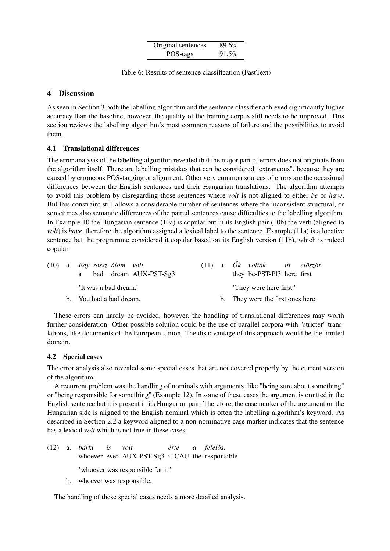| Original sentences | 89,6% |
|--------------------|-------|
| POS-tags           | 91,5% |

Table 6: Results of sentence classification (FastText)

# 4 Discussion

As seen in Section 3 both the labelling algorithm and the sentence classifier achieved significantly higher accuracy than the baseline, however, the quality of the training corpus still needs to be improved. This section reviews the labelling algorithm's most common reasons of failure and the possibilities to avoid them.

# 4.1 Translational differences

The error analysis of the labelling algorithm revealed that the major part of errors does not originate from the algorithm itself. There are labelling mistakes that can be considered "extraneous", because they are caused by erroneous POS-tagging or alignment. Other very common sources of errors are the occasional differences between the English sentences and their Hungarian translations. The algorithm attempts to avoid this problem by disregarding those sentences where *volt* is not aligned to either *be* or *have*. But this constraint still allows a considerable number of sentences where the inconsistent structural, or sometimes also semantic differences of the paired sentences cause difficulties to the labelling algorithm. In Example 10 the Hungarian sentence (10a) is copular but in its English pair (10b) the verb (aligned to *volt*) is *have*, therefore the algorithm assigned a lexical label to the sentence. Example (11a) is a locative sentence but the programme considered it copular based on its English version (11b), which is indeed copular.

|  | $(10)$ a. Egy rossz álom volt.<br>a bad dream AUX-PST-Sg3 |  | (11) a. $\tilde{O}k$ voltak itt először.<br>they be-PST-Pl3 here first |
|--|-----------------------------------------------------------|--|------------------------------------------------------------------------|
|  | 'It was a bad dream.'                                     |  | They were here first.'                                                 |
|  | b. You had a bad dream.                                   |  | b. They were the first ones here.                                      |

These errors can hardly be avoided, however, the handling of translational differences may worth further consideration. Other possible solution could be the use of parallel corpora with "stricter" translations, like documents of the European Union. The disadvantage of this approach would be the limited domain.

## 4.2 Special cases

The error analysis also revealed some special cases that are not covered properly by the current version of the algorithm.

A recurrent problem was the handling of nominals with arguments, like "being sure about something" or "being responsible for something" (Example 12). In some of these cases the argument is omitted in the English sentence but it is present in its Hungarian pair. Therefore, the case marker of the argument on the Hungarian side is aligned to the English nominal which is often the labelling algorithm's keyword. As described in Section 2.2 a keyword aligned to a non-nominative case marker indicates that the sentence has a lexical *volt* which is not true in these cases.

- (12) a. *bárki* whoever ever AUX-PST-Sg3 it-CAU the responsible *is volt érte a felel ˝os.* 'whoever was responsible for it.'
	- b. whoever was responsible.

The handling of these special cases needs a more detailed analysis.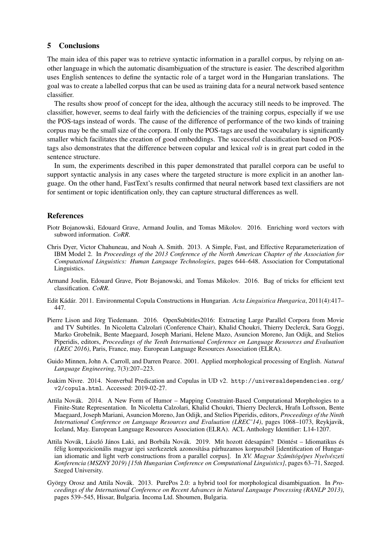### 5 Conclusions

The main idea of this paper was to retrieve syntactic information in a parallel corpus, by relying on another language in which the automatic disambiguation of the structure is easier. The described algorithm uses English sentences to define the syntactic role of a target word in the Hungarian translations. The goal was to create a labelled corpus that can be used as training data for a neural network based sentence classifier.

The results show proof of concept for the idea, although the accuracy still needs to be improved. The classifier, however, seems to deal fairly with the deficiencies of the training corpus, especially if we use the POS-tags instead of words. The cause of the difference of performance of the two kinds of training corpus may be the small size of the corpora. If only the POS-tags are used the vocabulary is significantly smaller which facilitates the creation of good embeddings. The successful classification based on POStags also demonstrates that the difference between copular and lexical *volt* is in great part coded in the sentence structure.

In sum, the experiments described in this paper demonstrated that parallel corpora can be useful to support syntactic analysis in any cases where the targeted structure is more explicit in an another language. On the other hand, FastText's results confirmed that neural network based text classifiers are not for sentiment or topic identification only, they can capture structural differences as well.

## References

- Piotr Bojanowski, Edouard Grave, Armand Joulin, and Tomas Mikolov. 2016. Enriching word vectors with subword information. *CoRR*.
- Chris Dyer, Victor Chahuneau, and Noah A. Smith. 2013. A Simple, Fast, and Effective Reparameterization of IBM Model 2. In *Proceedings of the 2013 Conference of the North American Chapter of the Association for Computational Linguistics: Human Language Technologies*, pages 644–648. Association for Computational Linguistics.
- Armand Joulin, Edouard Grave, Piotr Bojanowski, and Tomas Mikolov. 2016. Bag of tricks for efficient text classification. *CoRR*.
- Edit Kádár. 2011. Environmental Copula Constructions in Hungarian. *Acta Linguistica Hungarica*, 2011(4):417– 447.
- Pierre Lison and Jörg Tiedemann. 2016. OpenSubtitles2016: Extracting Large Parallel Corpora from Movie and TV Subtitles. In Nicoletta Calzolari (Conference Chair), Khalid Choukri, Thierry Declerck, Sara Goggi, Marko Grobelnik, Bente Maegaard, Joseph Mariani, Helene Mazo, Asuncion Moreno, Jan Odijk, and Stelios Piperidis, editors, *Proceedings of the Tenth International Conference on Language Resources and Evaluation (LREC 2016)*, Paris, France, may. European Language Resources Association (ELRA).
- Guido Minnen, John A. Carroll, and Darren Pearce. 2001. Applied morphological processing of English. *Natural Language Engineering*, 7(3):207–223.
- Joakim Nivre. 2014. Nonverbal Predication and Copulas in UD v2. http://universaldependencies.org/ v2/copula.html. Accessed: 2019-02-27.
- Attila Novák. 2014. A New Form of Humor Mapping Constraint-Based Computational Morphologies to a Finite-State Representation. In Nicoletta Calzolari, Khalid Choukri, Thierry Declerck, Hrafn Loftsson, Bente Maegaard, Joseph Mariani, Asuncion Moreno, Jan Odijk, and Stelios Piperidis, editors, *Proceedings of the Ninth International Conference on Language Resources and Evaluation (LREC'14)*, pages 1068–1073, Reykjavik, Iceland, May. European Language Resources Association (ELRA). ACL Anthology Identifier: L14-1207.
- Attila Novák, László János Laki, and Borbála Novák. 2019. Mit hozott édesapám? Döntést Idiomatikus és félig kompozicionális magyar igei szerkezetek azonosítása párhuzamos korpuszból [identification of Hungarian idiomatic and light verb constructions from a parallel corpus]. In *XV. Magyar Számítógépes Nyelvészeti Konferencia (MSZNY 2019) [15th Hungarian Conference on Computational Linguistics]*, pages 63–71, Szeged. Szeged University.
- György Orosz and Attila Novák. 2013. PurePos 2.0: a hybrid tool for morphological disambiguation. In *Proceedings of the International Conference on Recent Advances in Natural Language Processing (RANLP 2013)*, pages 539–545, Hissar, Bulgaria. Incoma Ltd. Shoumen, Bulgaria.